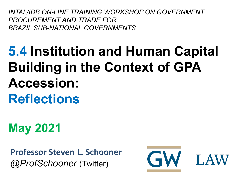*INTAL/IDB ON-LINE TRAINING WORKSHOP ON GOVERNMENT PROCUREMENT AND TRADE FOR BRAZIL SUB-NATIONAL GOVERNMENTS*

# **5.4 Institution and Human Capital Building in the Context of GPA Accession: Reflections**

**May 2021**

**Professor Steven L. Schooner** *@ProfSchooner* (Twitter)

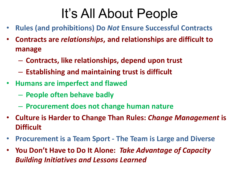## It's All About People

- **Rules (and prohibitions) Do** *Not* **Ensure Successful Contracts**
- **Contracts are** *relationships***, and relationships are difficult to manage**
	- **Contracts, like relationships, depend upon trust**
	- **Establishing and maintaining trust is difficult**
- **Humans are imperfect and flawed**
	- **People often behave badly**
	- **Procurement does not change human nature**
- **Culture is Harder to Change Than Rules:** *Change Management* **is Difficult**
- **Procurement is a Team Sport - The Team is Large and Diverse**
- **You Don't Have to Do It Alone:** *Take Advantage of Capacity Building Initiatives and Lessons Learned*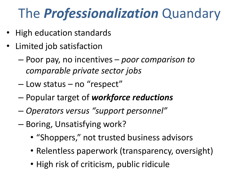# The *Professionalization* Quandary

- High education standards
- Limited job satisfaction
	- Poor pay, no incentives *poor comparison to comparable private sector jobs*
	- Low status no "respect"
	- Popular target of *workforce reductions*
	- *Operators versus "support personnel"*
	- Boring, Unsatisfying work?
		- "Shoppers," not trusted business advisors
		- Relentless paperwork (transparency, oversight)
		- High risk of criticism, public ridicule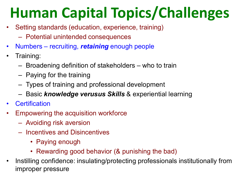# **Human Capital Topics/Challenges**

- Setting standards (education, experience, training)
	- Potential unintended consequences
- Numbers recruiting, *retaining* enough people
- Training:
	- Broadening definition of stakeholders who to train
	- Paying for the training
	- Types of training and professional development
	- Basic *knowledge verusus Skills* & experiential learning
- **Certification**
- Empowering the acquisition workforce
	- Avoiding risk aversion
	- Incentives and Disincentives
		- Paying enough
		- Rewarding good behavior (& punishing the bad)
- Instilling confidence: insulating/protecting professionals institutionally from improper pressure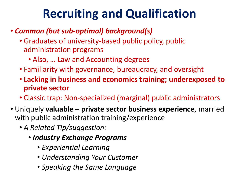## **Recruiting and Qualification**

#### • *Common (but sub-optimal) background(s)*

- Graduates of university-based public policy, public administration programs
	- Also, … Law and Accounting degrees
- Familiarity with governance, bureaucracy, and oversight
- **Lacking in business and economics training; underexposed to private sector**
- Classic trap: Non-specialized (marginal) public administrators
- Uniquely **valuable private sector business experience**, married with public administration training/experience
	- *A Related Tip/suggestion:*
		- *Industry Exchange Programs*
			- *Experiential Learning*
			- *Understanding Your Customer*
			- *Speaking the Same Language*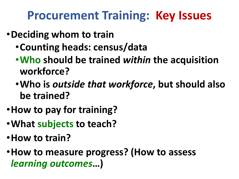#### **Procurement Training: Key Issues**

- •**Deciding whom to train**
	- •**Counting heads: census/data**
	- •**Who should be trained** *within* **the acquisition workforce?**
	- •**Who is** *outside that workforce***, but should also be trained?**
- •**How to pay for training?**
- •**What subjects to teach?**
- •**How to train?**
- •**How to measure progress? (How to assess**  *learning outcomes***…)**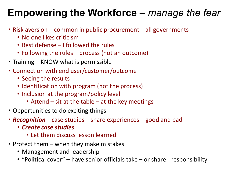#### **Empowering the Workforce** – *manage the fear*

- Risk aversion common in public procurement all governments
	- No one likes criticism
	- Best defense I followed the rules
	- Following the rules process (not an outcome)
- Training KNOW what is permissible
- Connection with end user/customer/outcome
	- Seeing the results
	- Identification with program (not the process)
	- Inclusion at the program/policy level
		- Attend sit at the table at the key meetings
- Opportunities to do exciting things
- *Recognition* case studies share experiences good and bad
	- *Create case studies*
		- Let them discuss lesson learned
- Protect them when they make mistakes
	- Management and leadership
	- "Political cover" have senior officials take or share responsibility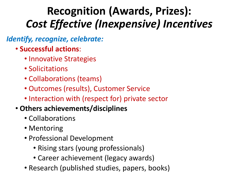#### **Recognition (Awards, Prizes):** *Cost Effective (Inexpensive) Incentives*

#### *Identify, recognize, celebrate:*

- **Successful actions**:
	- Innovative Strategies
	- Solicitations
	- Collaborations (teams)
	- Outcomes (results), Customer Service
	- Interaction with (respect for) private sector

#### • **Others achievements/disciplines**

- Collaborations
- Mentoring
- Professional Development
	- Rising stars (young professionals)
	- Career achievement (legacy awards)
- Research (published studies, papers, books)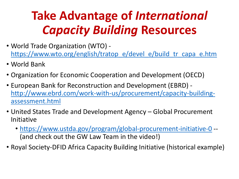## **Take Advantage of** *International Capacity Building* **Resources**

- World Trade Organization (WTO) [https://www.wto.org/english/tratop\\_e/devel\\_e/build\\_tr\\_capa\\_e.htm](https://www.wto.org/english/tratop_e/devel_e/build_tr_capa_e.htm)
- World Bank
- Organization for Economic Cooperation and Development (OECD)
- European Bank for Reconstruction and Development (EBRD) [http://www.ebrd.com/work-with-us/procurement/capacity-building](http://www.ebrd.com/work-with-us/procurement/capacity-building-assessment.html)assessment.html
- United States Trade and Development Agency Global Procurement Initiative
	- <https://www.ustda.gov/program/global-procurement-initiative-0> -- (and check out the GW Law Team in the video!)
- Royal Society-DFID Africa Capacity Building Initiative (historical example)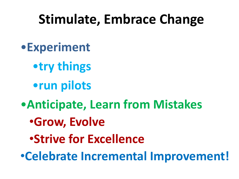# **Stimulate, Embrace Change**

- •**Experiment**
	- •**try things**
	- •**run pilots**
- •**Anticipate, Learn from Mistakes**
	- •**Grow, Evolve**
	- •**Strive for Excellence**

•**Celebrate Incremental Improvement!**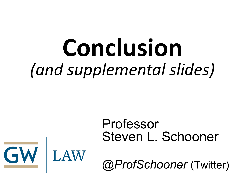# **Conclusion** *(and supplemental slides)*

GW LAW

### Professor Steven L. Schooner

*@ProfSchooner* (Twitter)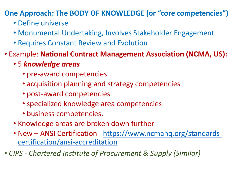**One Approach: The BODY OF KNOWLEDGE (or "core competencies")** 

- Define universe
- Monumental Undertaking, Involves Stakeholder Engagement
- Requires Constant Review and Evolution
- Example: **National Contract Management Association (NCMA, US):**
	- 5 *knowledge areas*
		- pre-award competencies
		- acquisition planning and strategy competencies
		- post-award competencies
		- specialized knowledge area competencies
		- business competencies.
	- Knowledge areas are broken down further
	- New ANSI Certification [https://www.ncmahq.org/standards](https://www.ncmahq.org/standards-certification/ansi-accreditation)certification/ansi-accreditation
- *CIPS - Chartered Institute of Procurement & Supply (Similar)*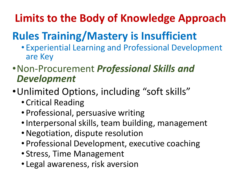#### **Limits to the Body of Knowledge Approach**

### **Rules Training/Mastery is Insufficient**

- Experiential Learning and Professional Development are Key
- •Non-Procurement *Professional Skills and Development*
- •Unlimited Options, including "soft skills"
	- Critical Reading
	- Professional, persuasive writing
	- Interpersonal skills, team building, management
	- •Negotiation, dispute resolution
	- Professional Development, executive coaching
	- Stress, Time Management
	- Legal awareness, risk aversion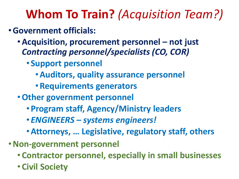## **Whom To Train?** *(Acquisition Team?)*

#### •**Government officials:**

- •**Acquisition, procurement personnel – not just**  *Contracting personnel/specialists (CO, COR)*
	- **Support personnel**
		- •**Auditors, quality assurance personnel**
		- •**Requirements generators**
- •**Other government personnel**
	- **Program staff, Agency/Ministry leaders**
	- *ENGINEERS – systems engineers!*
	- •**Attorneys, … Legislative, regulatory staff, others**
- •**Non-government personnel**
	- **Contractor personnel, especially in small businesses**
	- **Civil Society**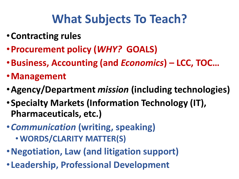## **What Subjects To Teach?**

- •**Contracting rules**
- •**Procurement policy (***WHY?* **GOALS)**
- •**Business, Accounting (and** *Economics***) – LCC, TOC…**
- •**Management**
- •**Agency/Department** *mission* **(including technologies)**
- •**Specialty Markets (Information Technology (IT), Pharmaceuticals, etc.)**
- •*Communication* **(writing, speaking)**
	- **WORDS/CLARITY MATTER(S)**
- •**Negotiation, Law (and litigation support)**
- •**Leadership, Professional Development**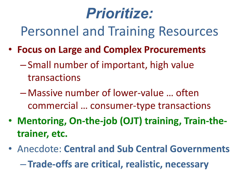# *Prioritize:*

Personnel and Training Resources

- **Focus on Large and Complex Procurements**
	- Small number of important, high value transactions
	- Massive number of lower-value … often commercial … consumer-type transactions
- **Mentoring, On-the-job (OJT) training, Train-thetrainer, etc.**
- Anecdote: **Central and Sub Central Governments** – **Trade-offs are critical, realistic, necessary**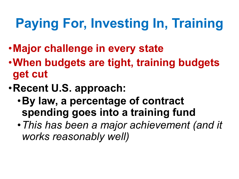# **Paying For, Investing In, Training**

- •**Major challenge in every state**
- •**When budgets are tight, training budgets get cut**
- •**Recent U.S. approach:**
	- •**By law, a percentage of contract spending goes into a training fund**
	- •*This has been a major achievement (and it works reasonably well)*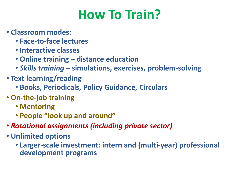# **How To Train?**

- **Classroom modes:**
	- **Face-to-face lectures**
	- **Interactive classes**
	- **Online training – distance education**
	- *Skills training* **– simulations, exercises, problem-solving**
- **Text learning/reading**
	- **Books, Periodicals, Policy Guidance, Circulars**
- **On-the-job training**
	- **Mentoring**
	- **People "look up and around"**
- *Rotational assignments (including private sector)*
- **Unlimited options**
	- **Larger-scale investment: intern and (multi-year) professional development programs**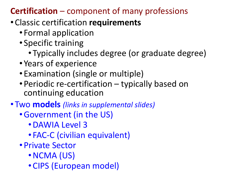#### **Certification** – component of many professions

- Classic certification **requirements**
	- Formal application
	- Specific training
		- Typically includes degree (or graduate degree)
	- Years of experience
	- Examination (single or multiple)
	- Periodic re-certification typically based on continuing education

#### • Two **models** *(links in supplemental slides)*

- •Government (in the US)
	- •DAWIA Level 3
	- FAC-C (civilian equivalent)
- Private Sector
	- •NCMA (US)
	- CIPS (European model)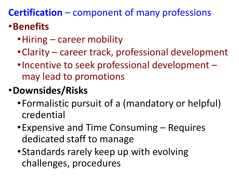#### **Certification** – component of many professions •**Benefits**

- •Hiring career mobility
- •Clarity career track, professional development
- •Incentive to seek professional development may lead to promotions

#### •**Downsides/Risks**

- •Formalistic pursuit of a (mandatory or helpful) credential
- •Expensive and Time Consuming Requires dedicated staff to manage
- •Standards rarely keep up with evolving challenges, procedures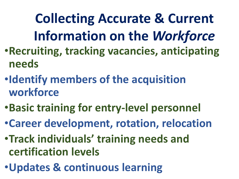**Collecting Accurate & Current Information on the** *Workforce*

- •**Recruiting, tracking vacancies, anticipating needs**
- •**Identify members of the acquisition workforce**
- •**Basic training for entry-level personnel**
- •**Career development, rotation, relocation**
- •**Track individuals' training needs and certification levels**
- •**Updates & continuous learning**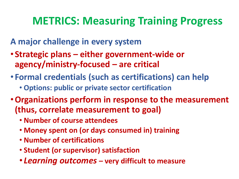#### **METRICS: Measuring Training Progress**

**A major challenge in every system**

- **Strategic plans – either government-wide or agency/ministry-focused – are critical**
- **Formal credentials (such as certifications) can help**
	- **Options: public or private sector certification**
- •**Organizations perform in response to the measurement (thus, correlate measurement to goal)**
	- **Number of course attendees**
	- **Money spent on (or days consumed in) training**
	- **Number of certifications**
	- **Student (or supervisor) satisfaction**
	- *Learning outcomes* **– very difficult to measure**